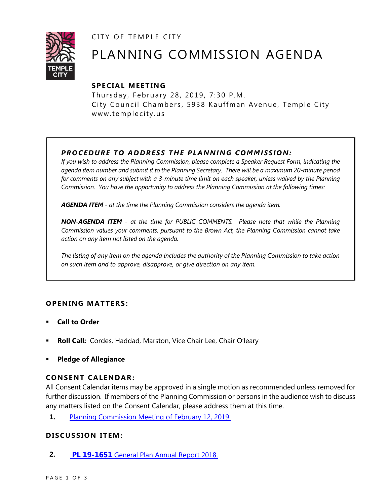CITY OF TEMPLE CITY



# PLANNING COMMISSION AGENDA

## **SPE CIA L MEET IN G**

Thursday, February 28, 2019, 7:30 P.M. City Council Chambers, 5938 Kauffman Avenue, Temple City www.templecity.us

## *PRO CE DURE TO ADDRE SS THE P LA NNI NG COMM I SSION:*

*If you wish to address the Planning Commission, please complete a Speaker Request Form, indicating the agenda item number and submit it to the Planning Secretary. There will be a maximum 20-minute period*  for comments on any subject with a 3-minute time limit on each speaker, unless waived by the Planning *Commission. You have the opportunity to address the Planning Commission at the following times:*

*AGENDA ITEM - at the time the Planning Commission considers the agenda item.*

*NON-AGENDA ITEM - at the time for PUBLIC COMMENTS. Please note that while the Planning Commission values your comments, pursuant to the Brown Act, the Planning Commission cannot take action on any item not listed on the agenda.*

*The listing of any item on the agenda includes the authority of the Planning Commission to take action on such item and to approve, disapprove, or give direction on any item.*

### **OPENING MATTERS:**

- **Call to Order**
- **Roll Call:** Cordes, Haddad, Marston, Vice Chair Lee, Chair O'leary
- **Pledge of Allegiance**

### **CONSENT CALENDAR:**

All Consent Calendar items may be approved in a single motion as recommended unless removed for further discussion. If members of the Planning Commission or persons in the audience wish to discuss any matters listed on the Consent Calendar, please address them at this time.

**1.** [Planning Commission Meeting of February 12, 2019.](file://///temple-filesrv/cdd/Planning%20Division/Meetings/Planning%20Commission/2019/02.28/PCM%20Minutes%202-12-19.pdf)

### **D ISCUSSION ITEM:**

**2. PL 19-1651** [General Plan Annual Report 2018.](https://www.ci.temple-city.ca.us/DocumentCenter/View/12070/Attachment-1-PL-19-1651-General-Plan-Annual-Report-2018)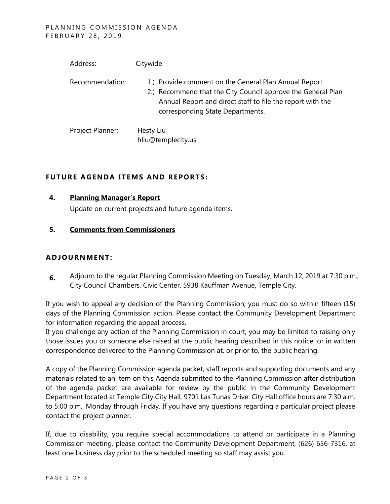| Address:         | Citywide                                                                                                                                                                                                                 |
|------------------|--------------------------------------------------------------------------------------------------------------------------------------------------------------------------------------------------------------------------|
| Recommendation:  | 1.) Provide comment on the General Plan Annual Report.<br>2.) Recommend that the City Council approve the General Plan<br>Annual Report and direct staff to file the report with the<br>corresponding State Departments. |
| Project Planner: | Hesty Liu<br>hliu@templecity.us                                                                                                                                                                                          |

### **FUTURE AGENDA ITEMS AND REPORTS:**

#### **4. Planning Manager's Report**

Update on current projects and future agenda items.

#### **5. Comments from Commissioners**

### **ADJOU RNMENT:**

**6.** Adjourn to the regular Planning Commission Meeting on Tuesday, March 12, 2019 at 7:30 p.m., City Council Chambers, Civic Center, 5938 Kauffman Avenue, Temple City.

If you wish to appeal any decision of the Planning Commission, you must do so within fifteen (15) days of the Planning Commission action. Please contact the Community Development Department for information regarding the appeal process.

If you challenge any action of the Planning Commission in court, you may be limited to raising only those issues you or someone else raised at the public hearing described in this notice, or in written correspondence delivered to the Planning Commission at, or prior to, the public hearing.

A copy of the Planning Commission agenda packet, staff reports and supporting documents and any materials related to an item on this Agenda submitted to the Planning Commission after distribution of the agenda packet are available for review by the public in the Community Development Department located at Temple City City Hall, 9701 Las Tunas Drive. City Hall office hours are 7:30 a.m. to 5:00 p.m., Monday through Friday. If you have any questions regarding a particular project please contact the project planner.

If, due to disability, you require special accommodations to attend or participate in a Planning Commission meeting, please contact the Community Development Department, (626) 656-7316, at least one business day prior to the scheduled meeting so staff may assist you.